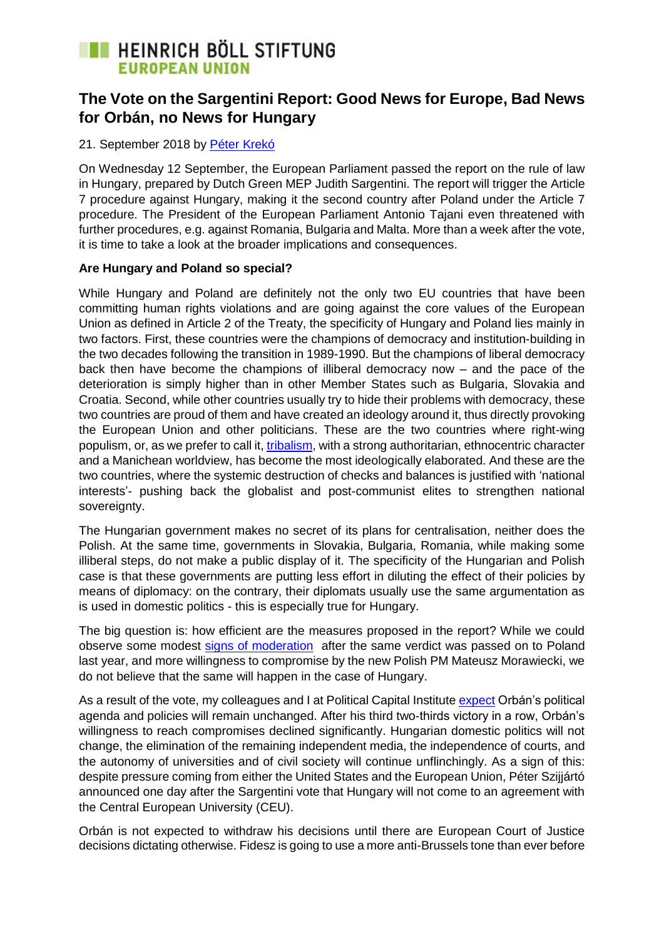# **THEINRICH BÖLL STIFTUNG EUROPEAN UNION**

### **The Vote on the Sargentini Report: Good News for Europe, Bad News for Orbán, no News for Hungary**

#### 21. September 2018 by [Péter Krekó](https://eu.boell.org/en/person/peter-kreko)

On Wednesday 12 September, the European Parliament passed the report on the rule of law in Hungary, prepared by Dutch Green MEP Judith Sargentini. The report will trigger the Article 7 procedure against Hungary, making it the second country after Poland under the Article 7 procedure. The President of the European Parliament Antonio Tajani even threatened with further procedures, e.g. against Romania, Bulgaria and Malta. More than a week after the vote, it is time to take a look at the broader implications and consequences.

#### **Are Hungary and Poland so special?**

While Hungary and Poland are definitely not the only two EU countries that have been committing human rights violations and are going against the core values of the European Union as defined in Article 2 of the Treaty, the specificity of Hungary and Poland lies mainly in two factors. First, these countries were the champions of democracy and institution-building in the two decades following the transition in 1989-1990. But the champions of liberal democracy back then have become the champions of illiberal democracy now – and the pace of the deterioration is simply higher than in other Member States such as Bulgaria, Slovakia and Croatia. Second, while other countries usually try to hide their problems with democracy, these two countries are proud of them and have created an ideology around it, thus directly provoking the European Union and other politicians. These are the two countries where right-wing populism, or, as we prefer to call it, [tribalism,](http://www.politicalcapital.hu/pc-admin/source/documents/pc_beyond_populism_study_20180731.pdf) with a strong authoritarian, ethnocentric character and a Manichean worldview, has become the most ideologically elaborated. And these are the two countries, where the systemic destruction of checks and balances is justified with 'national interests'- pushing back the globalist and post-communist elites to strengthen national sovereignty.

The Hungarian government makes no secret of its plans for centralisation, neither does the Polish. At the same time, governments in Slovakia, Bulgaria, Romania, while making some illiberal steps, do not make a public display of it. The specificity of the Hungarian and Polish case is that these governments are putting less effort in diluting the effect of their policies by means of diplomacy: on the contrary, their diplomats usually use the same argumentation as is used in domestic politics - this is especially true for Hungary.

The big question is: how efficient are the measures proposed in the report? While we could observe some modest [signs of moderation](https://www.reuters.com/article/us-eu-poland/eu-looks-to-resolve-very-soon-row-with-poland-over-rule-of-law-idUSKBN1HI2VF) after the same verdict was passed on to Poland last year, and more willingness to compromise by the new Polish PM Mateusz Morawiecki, we do not believe that the same will happen in the case of Hungary.

As a result of the vote, my colleagues and I at Political Capital Institute [expect](http://www.politicalcapital.hu/news.php?article_read=1&article_id=2305) Orbán's political agenda and policies will remain unchanged. After his third two-thirds victory in a row, Orbán's willingness to reach compromises declined significantly. Hungarian domestic politics will not change, the elimination of the remaining independent media, the independence of courts, and the autonomy of universities and of civil society will continue unflinchingly. As a sign of this: despite pressure coming from either the United States and the European Union, Péter Szijjártó announced one day after the Sargentini vote that Hungary will not come to an agreement with the Central European University (CEU).

Orbán is not expected to withdraw his decisions until there are European Court of Justice decisions dictating otherwise. Fidesz is going to use a more anti-Brussels tone than ever before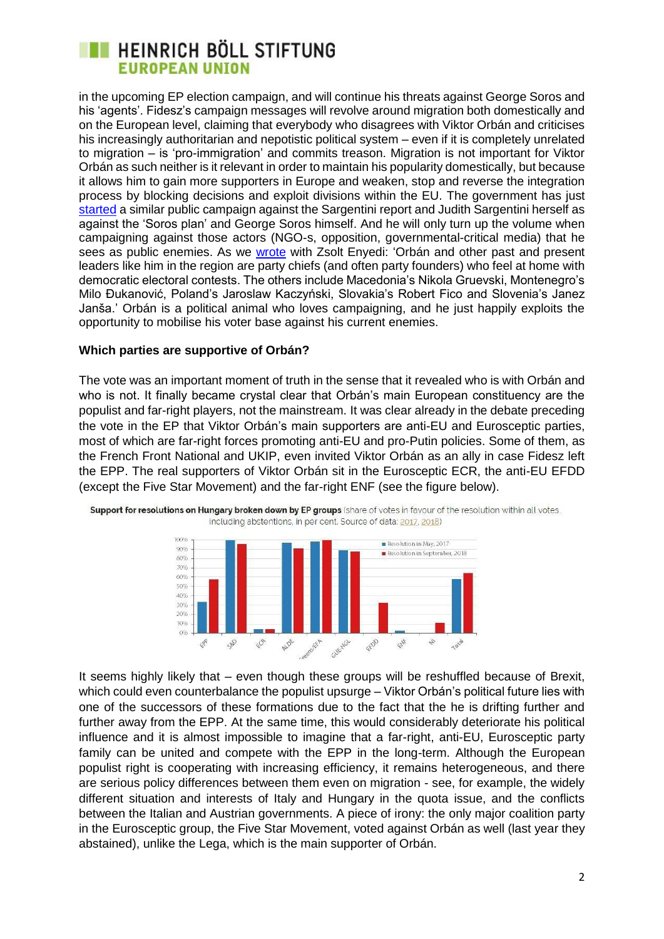## **THE HEINRICH BÖLL STIFTUNG EUROPEAN UNION**

in the upcoming EP election campaign, and will continue his threats against George Soros and his 'agents'. Fidesz's campaign messages will revolve around migration both domestically and on the European level, claiming that everybody who disagrees with Viktor Orbán and criticises his increasingly authoritarian and nepotistic political system – even if it is completely unrelated to migration – is 'pro-immigration' and commits treason. Migration is not important for Viktor Orbán as such neither is it relevant in order to maintain his popularity domestically, but because it allows him to gain more supporters in Europe and weaken, stop and reverse the integration process by blocking decisions and exploit divisions within the EU. The government has just [started](https://444.hu/2018/09/18/el-akarjak-hallgattatni-magyarorszagot4) a similar public campaign against the Sargentini report and Judith Sargentini herself as against the 'Soros plan' and George Soros himself. And he will only turn up the volume when campaigning against those actors (NGO-s, opposition, governmental-critical media) that he sees as public enemies. As we [wrote](https://www.journalofdemocracy.org/authoreditor/p%C3%A9ter-krek%C3%B3-and-zsolt-enyedi) with Zsolt Enyedi: 'Orbán and other past and present leaders like him in the region are party chiefs (and often party founders) who feel at home with democratic electoral contests. The others include Macedonia's Nikola Gruevski, Montenegro's Milo Đukanović, Poland's Jaroslaw Kaczyński, Slovakia's Robert Fico and Slovenia's Janez Janša.' Orbán is a political animal who loves campaigning, and he just happily exploits the opportunity to mobilise his voter base against his current enemies.

#### **Which parties are supportive of Orbán?**

The vote was an important moment of truth in the sense that it revealed who is with Orbán and who is not. It finally became crystal clear that Orbán's main European constituency are the populist and far-right players, not the mainstream. It was clear already in the debate preceding the vote in the EP that Viktor Orbán's main supporters are anti-EU and Eurosceptic parties, most of which are far-right forces promoting anti-EU and pro-Putin policies. Some of them, as the French Front National and UKIP, even invited Viktor Orbán as an ally in case Fidesz left the EPP. The real supporters of Viktor Orbán sit in the Eurosceptic ECR, the anti-EU EFDD (except the Five Star Movement) and the far-right ENF (see the figure below).



Support for resolutions on Hungary broken down by EP groups (share of votes in favour of the resolution within all votes, including abstentions, in per cent. Source of data: 2017, 2018)

It seems highly likely that – even though these groups will be reshuffled because of Brexit, which could even counterbalance the populist upsurge – Viktor Orbán's political future lies with one of the successors of these formations due to the fact that the he is drifting further and further away from the EPP. At the same time, this would considerably deteriorate his political influence and it is almost impossible to imagine that a far-right, anti-EU, Eurosceptic party family can be united and compete with the EPP in the long-term. Although the European populist right is cooperating with increasing efficiency, it remains heterogeneous, and there are serious policy differences between them even on migration - see, for example, the widely different situation and interests of Italy and Hungary in the quota issue, and the conflicts between the Italian and Austrian governments. A piece of irony: the only major coalition party in the Eurosceptic group, the Five Star Movement, voted against Orbán as well (last year they abstained), unlike the Lega, which is the main supporter of Orbán.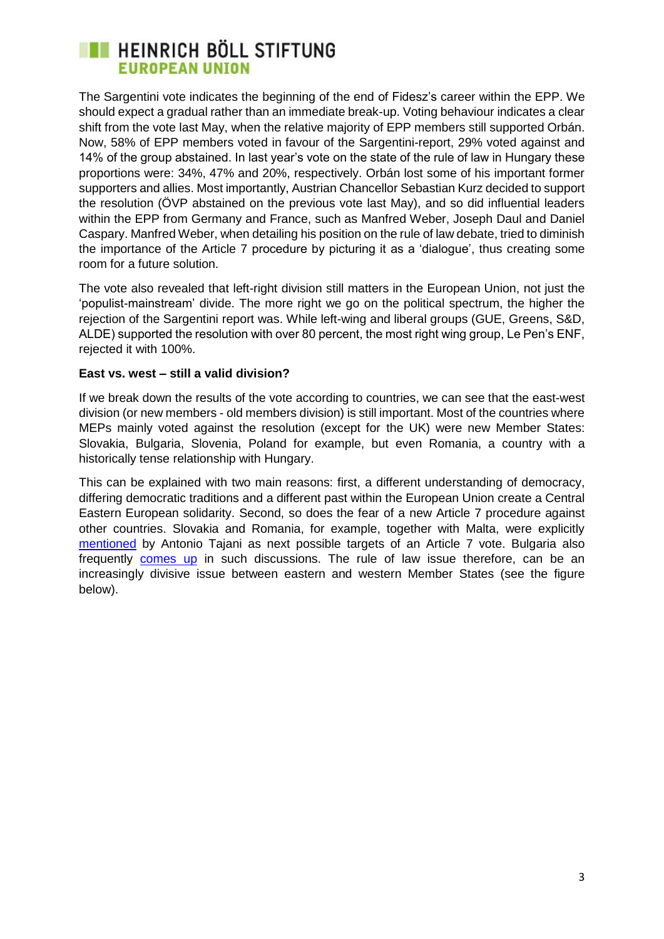## **EXECUTE HEINRICH BÖLL STIFTUNG EUROPEAN UNION**

The Sargentini vote indicates the beginning of the end of Fidesz's career within the EPP. We should expect a gradual rather than an immediate break-up. Voting behaviour indicates a clear shift from the vote last May, when the relative majority of EPP members still supported Orbán. Now, 58% of EPP members voted in favour of the Sargentini-report, 29% voted against and 14% of the group abstained. In last year's vote on the state of the rule of law in Hungary these proportions were: 34%, 47% and 20%, respectively. Orbán lost some of his important former supporters and allies. Most importantly, Austrian Chancellor Sebastian Kurz decided to support the resolution (ÖVP abstained on the previous vote last May), and so did influential leaders within the EPP from Germany and France, such as Manfred Weber, Joseph Daul and Daniel Caspary. Manfred Weber, when detailing his position on the rule of law debate, tried to diminish the importance of the Article 7 procedure by picturing it as a 'dialogue', thus creating some room for a future solution.

The vote also revealed that left-right division still matters in the European Union, not just the 'populist-mainstream' divide. The more right we go on the political spectrum, the higher the rejection of the Sargentini report was. While left-wing and liberal groups (GUE, Greens, S&D, ALDE) supported the resolution with over 80 percent, the most right wing group, Le Pen's ENF, rejected it with 100%.

#### **East vs. west – still a valid division?**

If we break down the results of the vote according to countries, we can see that the east-west division (or new members - old members division) is still important. Most of the countries where MEPs mainly voted against the resolution (except for the UK) were new Member States: Slovakia, Bulgaria, Slovenia, Poland for example, but even Romania, a country with a historically tense relationship with Hungary.

This can be explained with two main reasons: first, a different understanding of democracy, differing democratic traditions and a different past within the European Union create a Central Eastern European solidarity. Second, so does the fear of a new Article 7 procedure against other countries. Slovakia and Romania, for example, together with Malta, were explicitly [mentioned](https://www.radio24.ilsole24ore.com/programma/24mattino-morgana-e-merlino/trasmissione-settembre-2018-090216-gSLAUEkDnC?refresh_ce=1) by Antonio Tajani as next possible targets of an Article 7 vote. Bulgaria also frequently [comes](https://euobserver.com/opinion/142795) up in such discussions. The rule of law issue therefore, can be an increasingly divisive issue between eastern and western Member States (see the figure below).